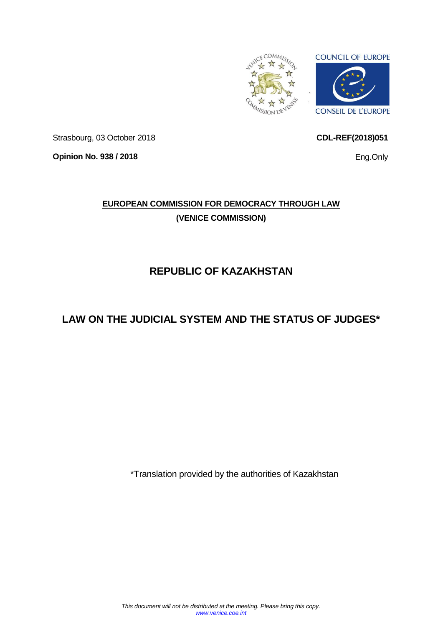

Strasbourg, 03 October 2018

**Opinion No. 938 / 2018**

# **EUROPEAN COMMISSION FOR DEMOCRACY THROUGH LAW (VENICE COMMISSION)**

# **REPUBLIC OF KAZAKHSTAN**

# **LAW ON THE JUDICIAL SYSTEM AND THE STATUS OF JUDGES\***

\*Translation provided by the authorities of Kazakhstan

Eng.Only

<span id="page-0-0"></span>**CDL-REF(2018)051**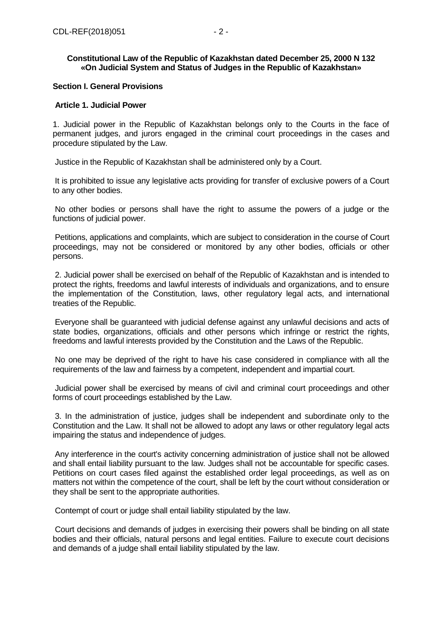## **Constitutional Law of the Republic of Kazakhstan dated December 25, 2000 N 132 «On Judicial System and Status of Judges in the Republic of Kazakhstan»**

## **Section I. General Provisions**

#### **Article 1. Judicial Power**

1. Judicial power in the Republic of Kazakhstan belongs only to the Courts in the face of permanent judges, and jurors engaged in the criminal court proceedings in the cases and procedure stipulated by the Law.

Justice in the Republic of Kazakhstan shall be administered only by a Court.

It is prohibited to issue any legislative acts providing for transfer of exclusive powers of a Court to any other bodies.

No other bodies or persons shall have the right to assume the powers of a judge or the functions of judicial power.

Petitions, applications and complaints, which are subject to consideration in the course of Court proceedings, may not be considered or monitored by any other bodies, officials or other persons.

2. Judicial power shall be exercised on behalf of the Republic of Kazakhstan and is intended to protect the rights, freedoms and lawful interests of individuals and organizations, and to ensure the implementation of the Constitution, laws, other regulatory legal acts, and international treaties of the Republic.

Everyone shall be guaranteed with judicial defense against any unlawful decisions and acts of state bodies, organizations, officials and other persons which infringe or restrict the rights, freedoms and lawful interests provided by the Constitution and the Laws of the Republic.

No one may be deprived of the right to have his case considered in compliance with all the requirements of the law and fairness by a competent, independent and impartial court.

Judicial power shall be exercised by means of civil and criminal court proceedings and other forms of court proceedings established by the Law.

3. In the administration of justice, judges shall be independent and subordinate only to the Constitution and the Law. It shall not be allowed to adopt any laws or other regulatory legal acts impairing the status and independence of judges.

Any interference in the court's activity concerning administration of justice shall not be allowed and shall entail liability pursuant to the law. Judges shall not be accountable for specific cases. Petitions on court cases filed against the established order legal proceedings, as well as on matters not within the competence of the court, shall be left by the court without consideration or they shall be sent to the appropriate authorities.

Contempt of court or judge shall entail liability stipulated by the law.

Court decisions and demands of judges in exercising their powers shall be binding on all state bodies and their officials, natural persons and legal entities. Failure to execute court decisions and demands of a judge shall entail liability stipulated by the law.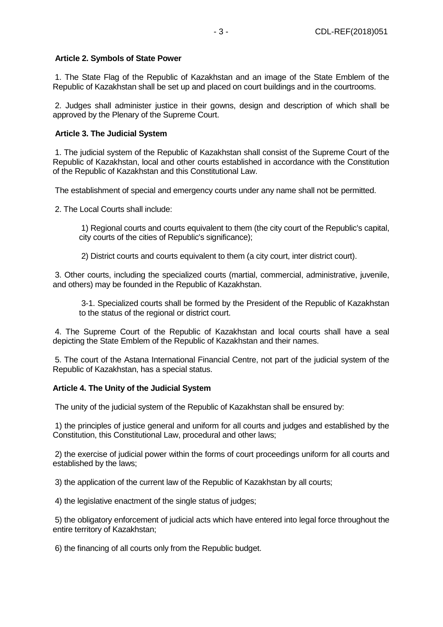## **Article 2. Symbols of State Power**

1. The State Flag of the Republic of Kazakhstan and an image of the State Emblem of the Republic of Kazakhstan shall be set up and placed on court buildings and in the courtrooms.

2. Judges shall administer justice in their gowns, design and description of which shall be approved by the Plenary of the Supreme Court.

## **Article 3. The Judicial System**

1. The judicial system of the Republic of Kazakhstan shall consist of the Supreme Court of the Republic of Kazakhstan, local and other courts established in accordance with the Constitution of the Republic of Kazakhstan and this Constitutional Law.

The establishment of special and emergency courts under any name shall not be permitted.

2. The Local Courts shall include:

1) Regional courts and courts equivalent to them (the city court of the Republic's capital, city courts of the cities of Republic's significance);

2) District courts and courts equivalent to them (a city court, inter district court).

3. Other courts, including the specialized courts (martial, commercial, administrative, juvenile, and others) may be founded in the Republic of Kazakhstan.

3-1. Specialized courts shall be formed by the President of the Republic of Kazakhstan to the status of the regional or district court.

4. The Supreme Court of the Republic of Kazakhstan and local courts shall have a seal depicting the State Emblem of the Republic of Kazakhstan and their names.

5. The court of the Astana International Financial Centre, not part of the judicial system of the Republic of Kazakhstan, has a special status.

## **Article 4. The Unity of the Judicial System**

The unity of the judicial system of the Republic of Kazakhstan shall be ensured by:

1) the principles of justice general and uniform for all courts and judges and established by the Constitution, this Constitutional Law, procedural and other laws;

2) the exercise of judicial power within the forms of court proceedings uniform for all courts and established by the laws;

3) the application of the current law of the Republic of Kazakhstan by all courts;

4) the legislative enactment of the single status of judges;

5) the obligatory enforcement of judicial acts which have entered into legal force throughout the entire territory of Kazakhstan;

6) the financing of all courts only from the Republic budget.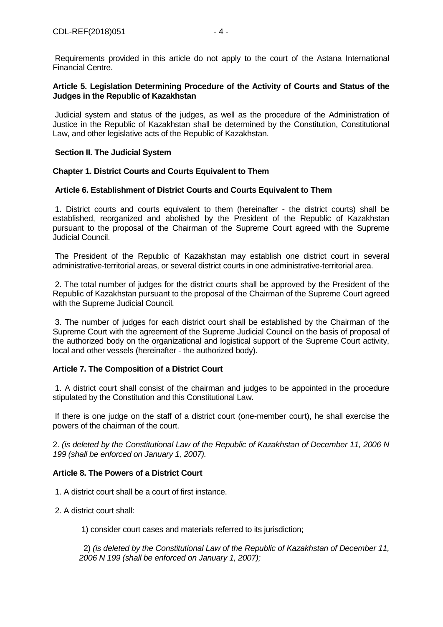Requirements provided in this article do not apply to the court of the Astana International Financial Centre.

## **Article 5. Legislation Determining Procedure of the Activity of Courts and Status of the Judges in the Republic of Kazakhstan**

Judicial system and status of the judges, as well as the procedure of the Administration of Justice in the Republic of Kazakhstan shall be determined by the Constitution, Constitutional Law, and other legislative acts of the Republic of Kazakhstan.

## **Section II. The Judicial System**

## **Chapter 1. District Courts and Courts Equivalent to Them**

## **Article 6. Establishment of District Courts and Courts Equivalent to Them**

1. District courts and courts equivalent to them (hereinafter - the district courts) shall be established, reorganized and abolished by the President of the Republic of Kazakhstan pursuant to the proposal of the Chairman of the Supreme Court agreed with the Supreme Judicial Council.

The President of the Republic of Kazakhstan may establish one district court in several administrative-territorial areas, or several district courts in one administrative-territorial area.

2. The total number of judges for the district courts shall be approved by the President of the Republic of Kazakhstan pursuant to the proposal of the Chairman of the Supreme Court agreed with the Supreme Judicial Council.

3. The number of judges for each district court shall be established by the Chairman of the Supreme Court with the agreement of the Supreme Judicial Council on the basis of proposal of the authorized body on the organizational and logistical support of the Supreme Court activity, local and other vessels (hereinafter - the authorized body).

## **Article 7. The Composition of a District Court**

1. A district court shall consist of the chairman and judges to be appointed in the procedure stipulated by the Constitution and this Constitutional Law.

If there is one judge on the staff of a district court (one-member court), he shall exercise the powers of the chairman of the court.

2. *(is deleted by the Constitutional Law of the Republic of Kazakhstan of December 11, 2006 N 199 (shall be enforced on January 1, 2007).*

#### **Article 8. The Powers of a District Court**

- 1. A district court shall be a court of first instance.
- 2. A district court shall:

1) consider court cases and materials referred to its jurisdiction;

2) *(is deleted by the Constitutional Law of the Republic of Kazakhstan of December 11, 2006 N 199 (shall be enforced on January 1, 2007);*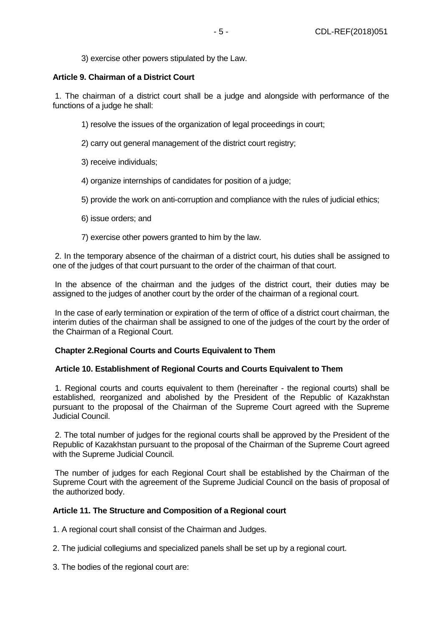## **Article 9. Chairman of a District Court**

1. The chairman of a district court shall be a judge and alongside with performance of the functions of a judge he shall:

- 1) resolve the issues of the organization of legal proceedings in court;
- 2) carry out general management of the district court registry;
- 3) receive individuals;
- 4) organize internships of candidates for position of a judge;
- 5) provide the work on anti-corruption and compliance with the rules of judicial ethics;
- 6) issue orders; and
- 7) exercise other powers granted to him by the law.

2. In the temporary absence of the chairman of a district court, his duties shall be assigned to one of the judges of that court pursuant to the order of the chairman of that court.

In the absence of the chairman and the judges of the district court, their duties may be assigned to the judges of another court by the order of the chairman of a regional court.

In the case of early termination or expiration of the term of office of a district court chairman, the interim duties of the chairman shall be assigned to one of the judges of the court by the order of the Chairman of a Regional Court.

## **Chapter 2.Regional Courts and Courts Equivalent to Them**

#### **Article 10. Establishment of Regional Courts and Courts Equivalent to Them**

1. Regional courts and courts equivalent to them (hereinafter - the regional courts) shall be established, reorganized and abolished by the President of the Republic of Kazakhstan pursuant to the proposal of the Chairman of the Supreme Court agreed with the Supreme Judicial Council.

2. The total number of judges for the regional courts shall be approved by the President of the Republic of Kazakhstan pursuant to the proposal of the Chairman of the Supreme Court agreed with the Supreme Judicial Council.

The number of judges for each Regional Court shall be established by the Chairman of the Supreme Court with the agreement of the Supreme Judicial Council on the basis of proposal of the authorized body.

#### **Article 11. The Structure and Composition of a Regional court**

1. A regional court shall consist of the Chairman and Judges.

- 2. The judicial collegiums and specialized panels shall be set up by a regional court.
- 3. The bodies of the regional court are: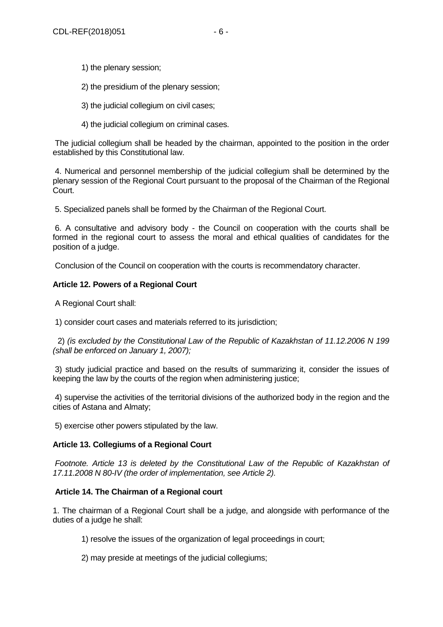- 1) the plenary session;
- 2) the presidium of the plenary session;
- 3) the judicial collegium on civil cases;
- 4) the judicial collegium on criminal cases.

The judicial collegium shall be headed by the chairman, appointed to the position in the order established by this Constitutional law.

4. Numerical and personnel membership of the judicial collegium shall be determined by the plenary session of the Regional Court pursuant to the proposal of the Chairman of the Regional Court.

5. Specialized panels shall be formed by the Chairman of the Regional Court.

6. A consultative and advisory body - the Council on cooperation with the courts shall be formed in the regional court to assess the moral and ethical qualities of candidates for the position of a judge.

Conclusion of the Council on cooperation with the courts is recommendatory character.

## **Article 12. Powers of a Regional Court**

A Regional Court shall:

1) consider court cases and materials referred to its jurisdiction;

2) *(is excluded by the Constitutional Law of the Republic of Kazakhstan of 11.12.2006 N 199 (shall be enforced on January 1, 2007);*

3) study judicial practice and based on the results of summarizing it, consider the issues of keeping the law by the courts of the region when administering justice;

4) supervise the activities of the territorial divisions of the authorized body in the region and the cities of Astana and Almaty;

5) exercise other powers stipulated by the law.

## **Article 13. Collegiums of a Regional Court**

*Footnote. Article 13 is deleted by the Constitutional Law of the Republic of Kazakhstan of 17.11.2008 N 80-IV (the order of implementation, see Article 2).*

## **Article 14. The Chairman of a Regional court**

1. The chairman of a Regional Court shall be a judge, and alongside with performance of the duties of a judge he shall:

1) resolve the issues of the organization of legal proceedings in court;

2) may preside at meetings of the judicial collegiums;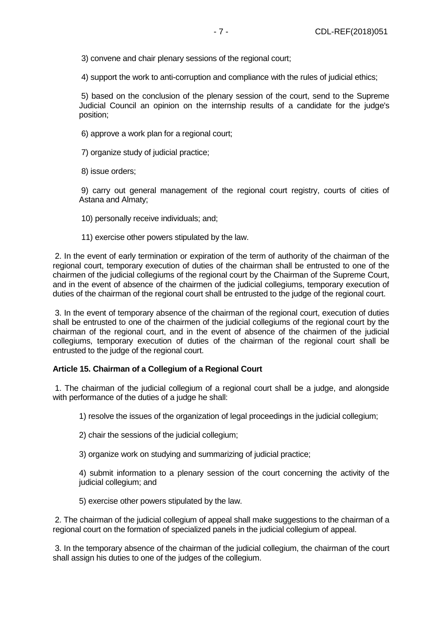3) convene and chair plenary sessions of the regional court;

4) support the work to anti-corruption and compliance with the rules of judicial ethics;

5) based on the conclusion of the plenary session of the court, send to the Supreme Judicial Council an opinion on the internship results of a candidate for the judge's position;

- 6) approve a work plan for a regional court;
- 7) organize study of judicial practice;
- 8) issue orders;

9) carry out general management of the regional court registry, courts of cities of Astana and Almaty;

- 10) personally receive individuals; and;
- 11) exercise other powers stipulated by the law.

2. In the event of early termination or expiration of the term of authority of the chairman of the regional court, temporary execution of duties of the chairman shall be entrusted to one of the chairmen of the judicial collegiums of the regional court by the Chairman of the Supreme Court, and in the event of absence of the chairmen of the judicial collegiums, temporary execution of duties of the chairman of the regional court shall be entrusted to the judge of the regional court.

3. In the event of temporary absence of the chairman of the regional court, execution of duties shall be entrusted to one of the chairmen of the judicial collegiums of the regional court by the chairman of the regional court, and in the event of absence of the chairmen of the judicial collegiums, temporary execution of duties of the chairman of the regional court shall be entrusted to the judge of the regional court.

#### **Article 15. Chairman of a Collegium of a Regional Court**

1. The chairman of the judicial collegium of a regional court shall be a judge, and alongside with performance of the duties of a judge he shall:

1) resolve the issues of the organization of legal proceedings in the judicial collegium;

- 2) chair the sessions of the judicial collegium;
- 3) organize work on studying and summarizing of judicial practice;

4) submit information to a plenary session of the court concerning the activity of the judicial collegium; and

5) exercise other powers stipulated by the law.

2. The chairman of the judicial collegium of appeal shall make suggestions to the chairman of a regional court on the formation of specialized panels in the judicial collegium of appeal.

3. In the temporary absence of the chairman of the judicial collegium, the chairman of the court shall assign his duties to one of the judges of the collegium.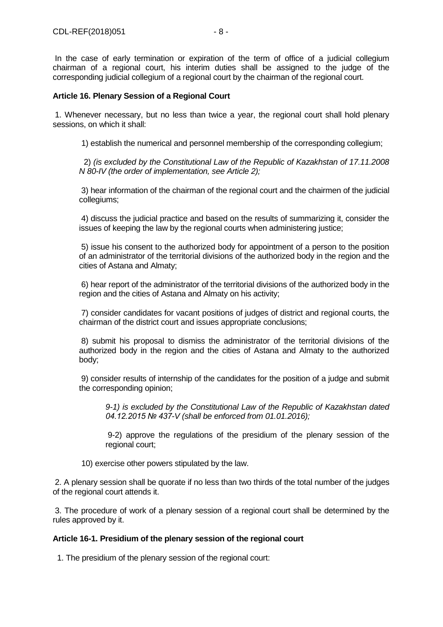In the case of early termination or expiration of the term of office of a judicial collegium chairman of a regional court, his interim duties shall be assigned to the judge of the corresponding judicial collegium of a regional court by the chairman of the regional court.

## **Article 16. Plenary Session of a Regional Court**

1. Whenever necessary, but no less than twice a year, the regional court shall hold plenary sessions, on which it shall:

1) establish the numerical and personnel membership of the corresponding collegium;

2) *(is excluded by the Constitutional Law of the Republic of Kazakhstan of 17.11.2008 N 80-IV (the order of implementation, see Article 2);*

3) hear information of the chairman of the regional court and the chairmen of the judicial collegiums;

4) discuss the judicial practice and based on the results of summarizing it, consider the issues of keeping the law by the regional courts when administering justice;

5) issue his consent to the authorized body for appointment of a person to the position of an administrator of the territorial divisions of the authorized body in the region and the cities of Astana and Almaty;

6) hear report of the administrator of the territorial divisions of the authorized body in the region and the cities of Astana and Almaty on his activity;

7) consider candidates for vacant positions of judges of district and regional courts, the chairman of the district court and issues appropriate conclusions;

8) submit his proposal to dismiss the administrator of the territorial divisions of the authorized body in the region and the cities of Astana and Almaty to the authorized body;

9) consider results of internship of the candidates for the position of a judge and submit the corresponding opinion;

*9-1) is excluded by the Constitutional Law of the Republic of Kazakhstan dated 04.12.2015 № 437-V (shall be enforced from 01.01.2016);*

9-2) approve the regulations of the presidium of the plenary session of the regional court;

10) exercise other powers stipulated by the law.

2. A plenary session shall be quorate if no less than two thirds of the total number of the judges of the regional court attends it.

3. The procedure of work of a plenary session of a regional court shall be determined by the rules approved by it.

## **Article 16-1. Presidium of the plenary session of the regional court**

1. The presidium of the plenary session of the regional court: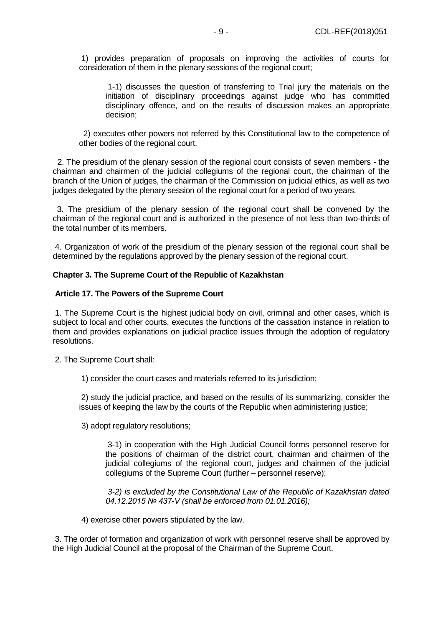1) provides preparation of proposals on improving the activities of courts for consideration of them in the plenary sessions of the regional court;

1-1) discusses the question of transferring to Trial jury the materials on the initiation of disciplinary proceedings against judge who has committed disciplinary offence, and on the results of discussion makes an appropriate decision;

 2) executes other powers not referred by this Constitutional law to the competence of other bodies of the regional court.

2. The presidium of the plenary session of the regional court consists of seven members - the chairman and chairmen of the judicial collegiums of the regional court, the chairman of the branch of the Union of judges, the chairman of the Commission on judicial ethics, as well as two judges delegated by the plenary session of the regional court for a period of two years.

 3. The presidium of the plenary session of the regional court shall be convened by the chairman of the regional court and is authorized in the presence of not less than two-thirds of the total number of its members.

4. Organization of work of the presidium of the plenary session of the regional court shall be determined by the regulations approved by the plenary session of the regional court.

#### **Chapter 3. The Supreme Court of the Republic of Kazakhstan**

#### **Article 17. The Powers of the Supreme Court**

1. The Supreme Court is the highest judicial body on civil, criminal and other cases, which is subject to local and other courts, executes the functions of the cassation instance in relation to them and provides explanations on judicial practice issues through the adoption of regulatory resolutions.

2. The Supreme Court shall:

1) consider the court cases and materials referred to its jurisdiction;

2) study the judicial practice, and based on the results of its summarizing, consider the issues of keeping the law by the courts of the Republic when administering justice;

3) adopt regulatory resolutions;

3-1) in cooperation with the High Judicial Council forms personnel reserve for the positions of chairman of the district court, chairman and chairmen of the judicial collegiums of the regional court, judges and chairmen of the judicial collegiums of the Supreme Court (further – personnel reserve);

*3-2) is excluded by the Constitutional Law of the Republic of Kazakhstan dated 04.12.2015 № 437-V (shall be enforced from 01.01.2016);*

4) exercise other powers stipulated by the law.

3. The order of formation and organization of work with personnel reserve shall be approved by the High Judicial Council at the proposal of the Chairman of the Supreme Court.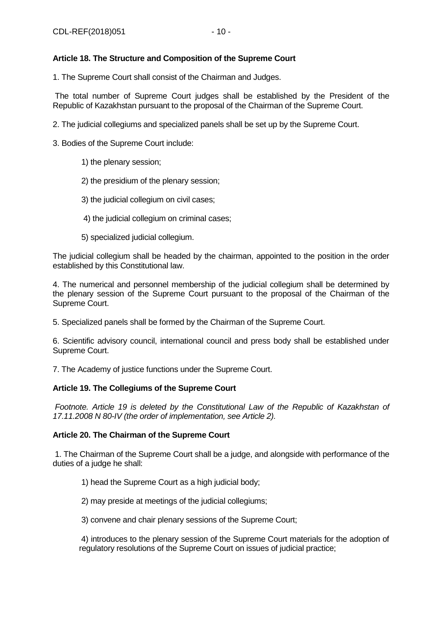## **Article 18. The Structure and Composition of the Supreme Court**

1. The Supreme Court shall consist of the Chairman and Judges.

The total number of Supreme Court judges shall be established by the President of the Republic of Kazakhstan pursuant to the proposal of the Chairman of the Supreme Court.

2. The judicial collegiums and specialized panels shall be set up by the Supreme Court.

3. Bodies of the Supreme Court include:

1) the plenary session;

- 2) the presidium of the plenary session;
- 3) the judicial collegium on civil cases;
- 4) the judicial collegium on criminal cases;
- 5) specialized judicial collegium.

The judicial collegium shall be headed by the chairman, appointed to the position in the order established by this Constitutional law.

4. The numerical and personnel membership of the judicial collegium shall be determined by the plenary session of the Supreme Court pursuant to the proposal of the Chairman of the Supreme Court.

5. Specialized panels shall be formed by the Chairman of the Supreme Court.

6. Scientific advisory council, international council and press body shall be established under Supreme Court.

7. The Academy of justice functions under the Supreme Court.

## **Article 19. The Collegiums of the Supreme Court**

*Footnote. Article 19 is deleted by the Constitutional Law of the Republic of Kazakhstan of 17.11.2008 N 80-IV (the order of implementation, see Article 2).*

## **Article 20. The Chairman of the Supreme Court**

1. The Chairman of the Supreme Court shall be a judge, and alongside with performance of the duties of a judge he shall:

1) head the Supreme Court as a high judicial body;

2) may preside at meetings of the judicial collegiums;

3) convene and chair plenary sessions of the Supreme Court;

4) introduces to the plenary session of the Supreme Court materials for the adoption of regulatory resolutions of the Supreme Court on issues of judicial practice;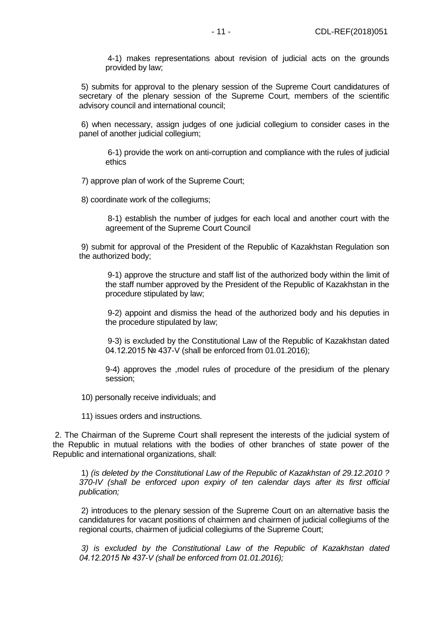4-1) makes representations about revision of judicial acts on the grounds provided by law;

5) submits for approval to the plenary session of the Supreme Court candidatures of secretary of the plenary session of the Supreme Court, members of the scientific advisory council and international council;

6) when necessary, assign judges of one judicial collegium to consider cases in the panel of another judicial collegium;

6-1) provide the work on anti-corruption and compliance with the rules of judicial ethics

7) approve plan of work of the Supreme Court;

8) coordinate work of the collegiums;

8-1) establish the number of judges for each local and another court with the agreement of the Supreme Court Council

9) submit for approval of the President of the Republic of Kazakhstan Regulation son the authorized body;

9-1) approve the structure and staff list of the authorized body within the limit of the staff number approved by the President of the Republic of Kazakhstan in the procedure stipulated by law;

9-2) appoint and dismiss the head of the authorized body and his deputies in the procedure stipulated by law;

9-3) is excluded by the Constitutional Law of the Republic of Kazakhstan dated 04.12.2015 № 437-V (shall be enforced from 01.01.2016);

9-4) approves the ,model rules of procedure of the presidium of the plenary session;

10) personally receive individuals; and

11) issues orders and instructions.

2. The Chairman of the Supreme Court shall represent the interests of the judicial system of the Republic in mutual relations with the bodies of other branches of state power of the Republic and international organizations, shall:

1) *(is deleted by the Constitutional Law of the Republic of Kazakhstan of 29.12.2010 ? 370-IV (shall be enforced upon expiry of ten calendar days after its first official publication;*

2) introduces to the plenary session of the Supreme Court on an alternative basis the candidatures for vacant positions of chairmen and chairmen of judicial collegiums of the regional courts, chairmen of judicial collegiums of the Supreme Court;

*3) is excluded by the Constitutional Law of the Republic of Kazakhstan dated 04.12.2015 № 437-V (shall be enforced from 01.01.2016);*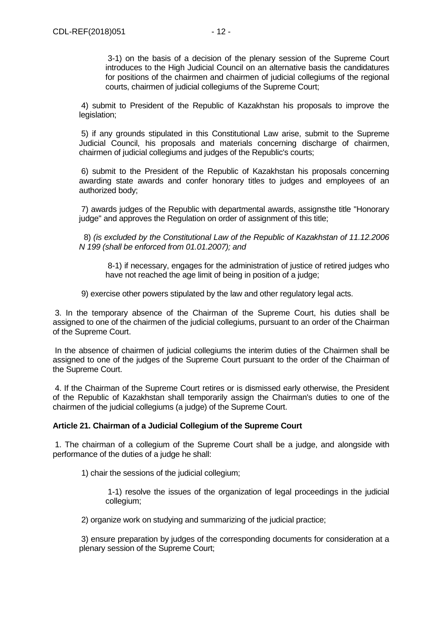3-1) on the basis of a decision of the plenary session of the Supreme Court introduces to the High Judicial Council on an alternative basis the candidatures for positions of the chairmen and chairmen of judicial collegiums of the regional courts, chairmen of judicial collegiums of the Supreme Court;

4) submit to President of the Republic of Kazakhstan his proposals to improve the legislation;

5) if any grounds stipulated in this Constitutional Law arise, submit to the Supreme Judicial Council, his proposals and materials concerning discharge of chairmen, chairmen of judicial collegiums and judges of the Republic's courts;

6) submit to the President of the Republic of Kazakhstan his proposals concerning awarding state awards and confer honorary titles to judges and employees of an authorized body;

7) awards judges of the Republic with departmental awards, assignsthe title "Honorary judge" and approves the Regulation on order of assignment of this title;

8) *(is excluded by the Constitutional Law of the Republic of Kazakhstan of 11.12.2006 N 199 (shall be enforced from 01.01.2007); and*

8-1) if necessary, engages for the administration of justice of retired judges who have not reached the age limit of being in position of a judge;

9) exercise other powers stipulated by the law and other regulatory legal acts.

3. In the temporary absence of the Chairman of the Supreme Court, his duties shall be assigned to one of the chairmen of the judicial collegiums, pursuant to an order of the Chairman of the Supreme Court.

In the absence of chairmen of judicial collegiums the interim duties of the Chairmen shall be assigned to one of the judges of the Supreme Court pursuant to the order of the Chairman of the Supreme Court.

4. If the Chairman of the Supreme Court retires or is dismissed early otherwise, the President of the Republic of Kazakhstan shall temporarily assign the Chairman's duties to one of the chairmen of the judicial collegiums (a judge) of the Supreme Court.

## **Article 21. Chairman of a Judicial Collegium of the Supreme Court**

1. The chairman of a collegium of the Supreme Court shall be a judge, and alongside with performance of the duties of a judge he shall:

1) chair the sessions of the judicial collegium;

1-1) resolve the issues of the organization of legal proceedings in the judicial collegium;

2) organize work on studying and summarizing of the judicial practice;

3) ensure preparation by judges of the corresponding documents for consideration at a plenary session of the Supreme Court;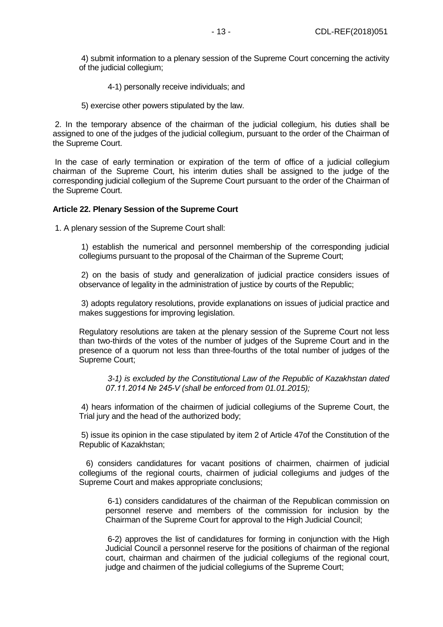4) submit information to a plenary session of the Supreme Court concerning the activity of the judicial collegium;

4-1) personally receive individuals; and

5) exercise other powers stipulated by the law.

2. In the temporary absence of the chairman of the judicial collegium, his duties shall be assigned to one of the judges of the judicial collegium, pursuant to the order of the Chairman of the Supreme Court.

In the case of early termination or expiration of the term of office of a judicial collegium chairman of the Supreme Court, his interim duties shall be assigned to the judge of the corresponding judicial collegium of the Supreme Court pursuant to the order of the Chairman of the Supreme Court.

#### **Article 22. Plenary Session of the Supreme Court**

1. A plenary session of the Supreme Court shall:

1) establish the numerical and personnel membership of the corresponding judicial collegiums pursuant to the proposal of the Chairman of the Supreme Court;

2) on the basis of study and generalization of judicial practice considers issues of observance of legality in the administration of justice by courts of the Republic;

3) adopts regulatory resolutions, provide explanations on issues of judicial practice and makes suggestions for improving legislation.

Regulatory resolutions are taken at the plenary session of the Supreme Court not less than two-thirds of the votes of the number of judges of the Supreme Court and in the presence of a quorum not less than three-fourths of the total number of judges of the Supreme Court;

*3-1) is excluded by the Constitutional Law of the Republic of Kazakhstan dated 07.11.2014 № 245-V (shall be enforced from 01.01.2015);*

4) hears information of the chairmen of judicial collegiums of the Supreme Court, the Trial jury and the head of the authorized body;

5) issue its opinion in the case stipulated by item 2 of Article 47of the Constitution of the Republic of Kazakhstan;

6) considers candidatures for vacant positions of chairmen, chairmen of judicial collegiums of the regional courts, chairmen of judicial collegiums and judges of the Supreme Court and makes appropriate conclusions;

6-1) considers candidatures of the chairman of the Republican commission on personnel reserve and members of the commission for inclusion by the Chairman of the Supreme Court for approval to the High Judicial Council;

6-2) approves the list of candidatures for forming in conjunction with the High Judicial Council a personnel reserve for the positions of chairman of the regional court, chairman and chairmen of the judicial collegiums of the regional court, judge and chairmen of the judicial collegiums of the Supreme Court;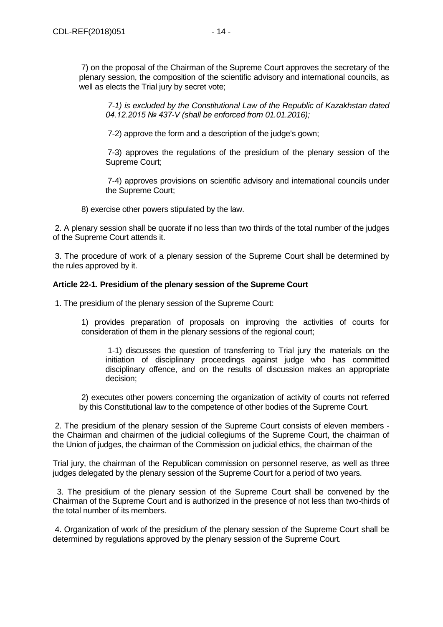*7-1) is excluded by the Constitutional Law of the Republic of Kazakhstan dated 04.12.2015 № 437-V (shall be enforced from 01.01.2016);*

7-2) approve the form and a description of the judge's gown;

7-3) approves the regulations of the presidium of the plenary session of the Supreme Court;

7-4) approves provisions on scientific advisory and international councils under the Supreme Court;

8) exercise other powers stipulated by the law.

2. A plenary session shall be quorate if no less than two thirds of the total number of the judges of the Supreme Court attends it.

3. The procedure of work of a plenary session of the Supreme Court shall be determined by the rules approved by it.

## **Article 22-1. Presidium of the plenary session of the Supreme Court**

1. The presidium of the plenary session of the Supreme Court:

1) provides preparation of proposals on improving the activities of courts for consideration of them in the plenary sessions of the regional court;

1-1) discusses the question of transferring to Trial jury the materials on the initiation of disciplinary proceedings against judge who has committed disciplinary offence, and on the results of discussion makes an appropriate decision;

2) executes other powers concerning the organization of activity of courts not referred by this Constitutional law to the competence of other bodies of the Supreme Court.

2. The presidium of the plenary session of the Supreme Court consists of eleven members the Chairman and chairmen of the judicial collegiums of the Supreme Court, the chairman of the Union of judges, the chairman of the Commission on judicial ethics, the chairman of the

Trial jury, the chairman of the Republican commission on personnel reserve, as well as three judges delegated by the plenary session of the Supreme Court for a period of two years.

 3. The presidium of the plenary session of the Supreme Court shall be convened by the Chairman of the Supreme Court and is authorized in the presence of not less than two-thirds of the total number of its members.

4. Organization of work of the presidium of the plenary session of the Supreme Court shall be determined by regulations approved by the plenary session of the Supreme Court.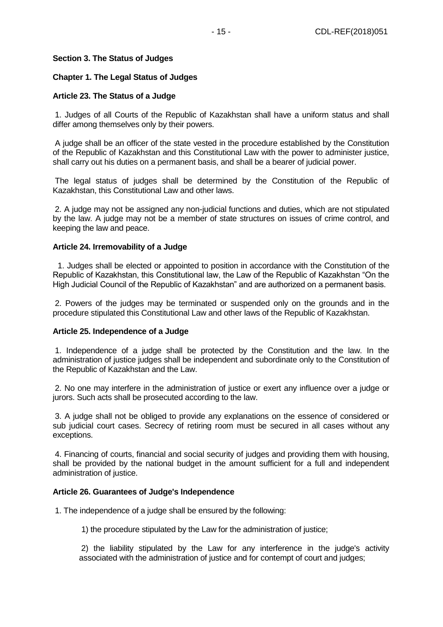## **Section 3. The Status of Judges**

### **Chapter 1. The Legal Status of Judges**

#### **Article 23. The Status of a Judge**

1. Judges of all Courts of the Republic of Kazakhstan shall have a uniform status and shall differ among themselves only by their powers.

A judge shall be an officer of the state vested in the procedure established by the Constitution of the Republic of Kazakhstan and this Constitutional Law with the power to administer justice, shall carry out his duties on a permanent basis, and shall be a bearer of judicial power.

The legal status of judges shall be determined by the Constitution of the Republic of Kazakhstan, this Constitutional Law and other laws.

2. A judge may not be assigned any non-judicial functions and duties, which are not stipulated by the law. A judge may not be a member of state structures on issues of crime control, and keeping the law and peace.

#### **Article 24. Irremovability of a Judge**

1. Judges shall be elected or appointed to position in accordance with the Constitution of the Republic of Kazakhstan, this Constitutional law, the Law of the Republic of Kazakhstan "On the High Judicial Council of the Republic of Kazakhstan" and are authorized on a permanent basis.

2. Powers of the judges may be terminated or suspended only on the grounds and in the procedure stipulated this Constitutional Law and other laws of the Republic of Kazakhstan.

#### **Article 25. Independence of a Judge**

1. Independence of a judge shall be protected by the Constitution and the law. In the administration of justice judges shall be independent and subordinate only to the Constitution of the Republic of Kazakhstan and the Law.

2. No one may interfere in the administration of justice or exert any influence over a judge or jurors. Such acts shall be prosecuted according to the law.

3. A judge shall not be obliged to provide any explanations on the essence of considered or sub judicial court cases. Secrecy of retiring room must be secured in all cases without any exceptions.

4. Financing of courts, financial and social security of judges and providing them with housing, shall be provided by the national budget in the amount sufficient for a full and independent administration of justice.

#### **Article 26. Guarantees of Judge's Independence**

1. The independence of a judge shall be ensured by the following:

1) the procedure stipulated by the Law for the administration of justice;

2) the liability stipulated by the Law for any interference in the judge's activity associated with the administration of justice and for contempt of court and judges;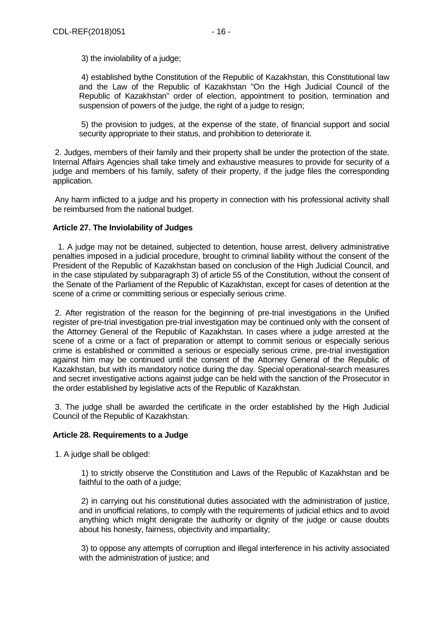3) the inviolability of a judge;

4) established bythe Constitution of the Republic of Kazakhstan, this Constitutional law and the Law of the Republic of Kazakhstan "On the High Judicial Council of the Republic of Kazakhstan" order of election, appointment to position, termination and suspension of powers of the judge, the right of a judge to resign;

5) the provision to judges, at the expense of the state, of financial support and social security appropriate to their status, and prohibition to deteriorate it.

2. Judges, members of their family and their property shall be under the protection of the state. Internal Affairs Agencies shall take timely and exhaustive measures to provide for security of a judge and members of his family, safety of their property, if the judge files the corresponding application.

Any harm inflicted to a judge and his property in connection with his professional activity shall be reimbursed from the national budget.

## **Article 27. The Inviolability of Judges**

1. A judge may not be detained, subjected to detention, house arrest, delivery administrative penalties imposed in a judicial procedure, brought to criminal liability without the consent of the President of the Republic of Kazakhstan based on conclusion of the High Judicial Council, and in the case stipulated by subparagraph 3) of article 55 of the Constitution, without the consent of the Senate of the Parliament of the Republic of Kazakhstan, except for cases of detention at the scene of a crime or committing serious or especially serious crime.

2. After registration of the reason for the beginning of pre-trial investigations in the Unified register of pre-trial investigation pre-trial investigation may be continued only with the consent of the Attorney General of the Republic of Kazakhstan. In cases where a judge arrested at the scene of a crime or a fact of preparation or attempt to commit serious or especially serious crime is established or committed a serious or especially serious crime, pre-trial investigation against him may be continued until the consent of the Attorney General of the Republic of Kazakhstan, but with its mandatory notice during the day. Special operational-search measures and secret investigative actions against judge can be held with the sanction of the Prosecutor in the order established by legislative acts of the Republic of Kazakhstan.

3. The judge shall be awarded the certificate in the order established by the High Judicial Council of the Republic of Kazakhstan.

## **Article 28. Requirements to a Judge**

1. A judge shall be obliged:

1) to strictly observe the Constitution and Laws of the Republic of Kazakhstan and be faithful to the oath of a judge;

2) in carrying out his constitutional duties associated with the administration of justice, and in unofficial relations, to comply with the requirements of judicial ethics and to avoid anything which might denigrate the authority or dignity of the judge or cause doubts about his honesty, fairness, objectivity and impartiality;

3) to oppose any attempts of corruption and illegal interference in his activity associated with the administration of justice; and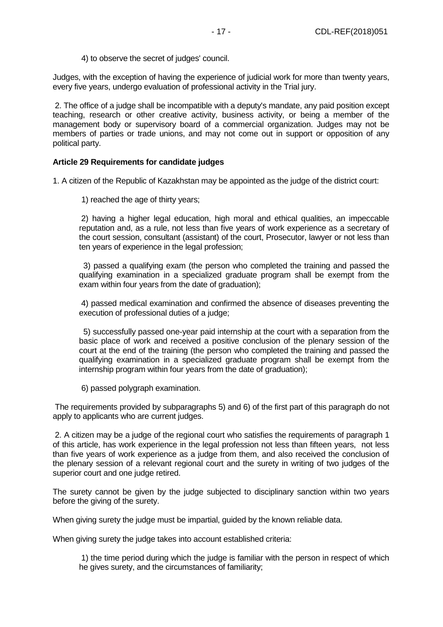4) to observe the secret of judges' council.

Judges, with the exception of having the experience of judicial work for more than twenty years, every five years, undergo evaluation of professional activity in the Trial jury.

2. The office of a judge shall be incompatible with a deputy's mandate, any paid position except teaching, research or other creative activity, business activity, or being a member of the management body or supervisory board of a commercial organization. Judges may not be members of parties or trade unions, and may not come out in support or opposition of any political party.

## **Article 29 Requirements for candidate judges**

1. A citizen of the Republic of Kazakhstan may be appointed as the judge of the district court:

1) reached the age of thirty years;

2) having a higher legal education, high moral and ethical qualities, an impeccable reputation and, as a rule, not less than five years of work experience as a secretary of the court session, consultant (assistant) of the court, Prosecutor, lawyer or not less than ten years of experience in the legal profession;

 3) passed a qualifying exam (the person who completed the training and passed the qualifying examination in a specialized graduate program shall be exempt from the exam within four years from the date of graduation);

4) passed medical examination and confirmed the absence of diseases preventing the execution of professional duties of a judge;

 5) successfully passed one-year paid internship at the court with a separation from the basic place of work and received a positive conclusion of the plenary session of the court at the end of the training (the person who completed the training and passed the qualifying examination in a specialized graduate program shall be exempt from the internship program within four years from the date of graduation);

6) passed polygraph examination.

The requirements provided by subparagraphs 5) and 6) of the first part of this paragraph do not apply to applicants who are current judges.

2. A citizen may be a judge of the regional court who satisfies the requirements of paragraph 1 of this article, has work experience in the legal profession not less than fifteen years, not less than five years of work experience as a judge from them, and also received the conclusion of the plenary session of a relevant regional court and the surety in writing of two judges of the superior court and one judge retired.

The surety cannot be given by the judge subjected to disciplinary sanction within two years before the giving of the surety.

When giving surety the judge must be impartial, guided by the known reliable data.

When giving surety the judge takes into account established criteria:

1) the time period during which the judge is familiar with the person in respect of which he gives surety, and the circumstances of familiarity;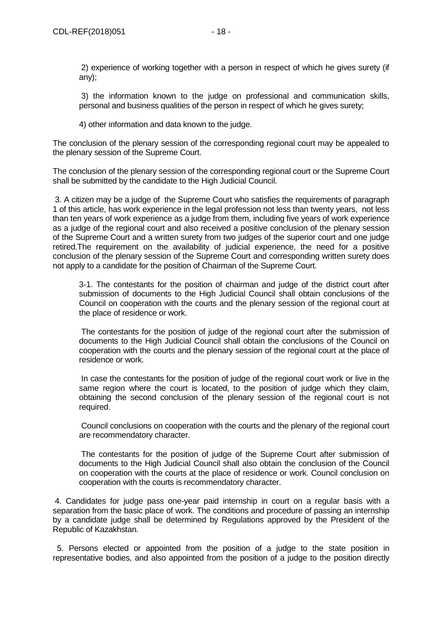3) the information known to the judge on professional and communication skills, personal and business qualities of the person in respect of which he gives surety;

4) other information and data known to the judge.

The conclusion of the plenary session of the corresponding regional court may be appealed to the plenary session of the Supreme Court.

The conclusion of the plenary session of the corresponding regional court or the Supreme Court shall be submitted by the candidate to the High Judicial Council.

3. A citizen may be a judge of the Supreme Court who satisfies the requirements of paragraph 1 of this article, has work experience in the legal profession not less than twenty years, not less than ten years of work experience as a judge from them, including five years of work experience as a judge of the regional court and also received a positive conclusion of the plenary session of the Supreme Court and a written surety from two judges of the superior court and one judge retired.The requirement on the availability of judicial experience, the need for a positive conclusion of the plenary session of the Supreme Court and corresponding written surety does not apply to a candidate for the position of Chairman of the Supreme Court.

3-1. The contestants for the position of chairman and judge of the district court after submission of documents to the High Judicial Council shall obtain conclusions of the Council on cooperation with the courts and the plenary session of the regional court at the place of residence or work.

The contestants for the position of judge of the regional court after the submission of documents to the High Judicial Council shall obtain the conclusions of the Council on cooperation with the courts and the plenary session of the regional court at the place of residence or work.

In case the contestants for the position of judge of the regional court work or live in the same region where the court is located, to the position of judge which they claim, obtaining the second conclusion of the plenary session of the regional court is not required.

Council conclusions on cooperation with the courts and the plenary of the regional court are recommendatory character.

The contestants for the position of judge of the Supreme Court after submission of documents to the High Judicial Council shall also obtain the conclusion of the Council on cooperation with the courts at the place of residence or work. Council conclusion on cooperation with the courts is recommendatory character.

4. Candidates for judge pass one-year paid internship in court on a regular basis with a separation from the basic place of work. The conditions and procedure of passing an internship by a candidate judge shall be determined by Regulations approved by the President of the Republic of Kazakhstan.

 5. Persons elected or appointed from the position of a judge to the state position in representative bodies, and also appointed from the position of a judge to the position directly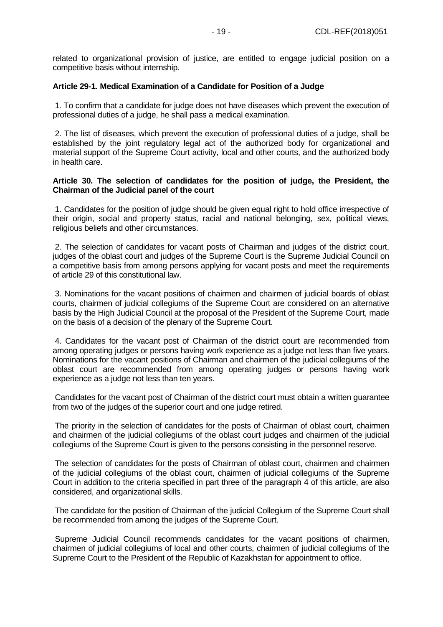related to organizational provision of justice, are entitled to engage judicial position on a competitive basis without internship.

## **Article 29-1. Medical Examination of a Candidate for Position of a Judge**

1. To confirm that a candidate for judge does not have diseases which prevent the execution of professional duties of a judge, he shall pass a medical examination.

2. The list of diseases, which prevent the execution of professional duties of a judge, shall be established by the joint regulatory legal act of the authorized body for organizational and material support of the Supreme Court activity, local and other courts, and the authorized body in health care.

#### **Article 30. The selection of candidates for the position of judge, the President, the Chairman of the Judicial panel of the court**

1. Candidates for the position of judge should be given equal right to hold office irrespective of their origin, social and property status, racial and national belonging, sex, political views, religious beliefs and other circumstances.

2. The selection of candidates for vacant posts of Chairman and judges of the district court, judges of the oblast court and judges of the Supreme Court is the Supreme Judicial Council on a competitive basis from among persons applying for vacant posts and meet the requirements of article 29 of this constitutional law.

3. Nominations for the vacant positions of chairmen and chairmen of judicial boards of oblast courts, chairmen of judicial collegiums of the Supreme Court are considered on an alternative basis by the High Judicial Council at the proposal of the President of the Supreme Court, made on the basis of a decision of the plenary of the Supreme Court.

4. Candidates for the vacant post of Chairman of the district court are recommended from among operating judges or persons having work experience as a judge not less than five years. Nominations for the vacant positions of Chairman and chairmen of the judicial collegiums of the oblast court are recommended from among operating judges or persons having work experience as a judge not less than ten years.

Candidates for the vacant post of Chairman of the district court must obtain a written guarantee from two of the judges of the superior court and one judge retired.

The priority in the selection of candidates for the posts of Chairman of oblast court, chairmen and chairmen of the judicial collegiums of the oblast court judges and chairmen of the judicial collegiums of the Supreme Court is given to the persons consisting in the personnel reserve.

The selection of candidates for the posts of Chairman of oblast court, chairmen and chairmen of the judicial collegiums of the oblast court, chairmen of judicial collegiums of the Supreme Court in addition to the criteria specified in part three of the paragraph 4 of this article, are also considered, and organizational skills.

The candidate for the position of Chairman of the judicial Collegium of the Supreme Court shall be recommended from among the judges of the Supreme Court.

Supreme Judicial Council recommends candidates for the vacant positions of chairmen, chairmen of judicial collegiums of local and other courts, chairmen of judicial collegiums of the Supreme Court to the President of the Republic of Kazakhstan for appointment to office.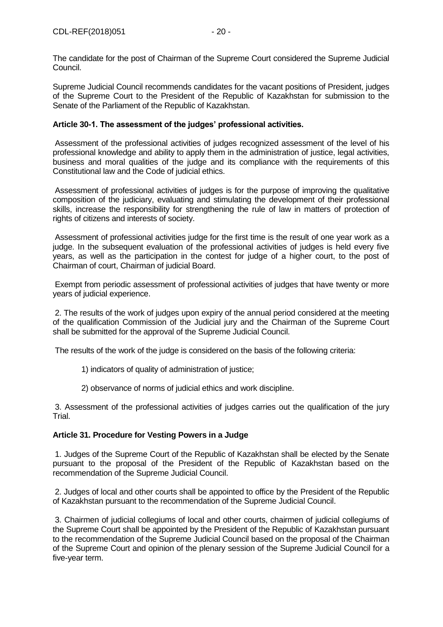The candidate for the post of Chairman of the Supreme Court considered the Supreme Judicial Council.

Supreme Judicial Council recommends candidates for the vacant positions of President, judges of the Supreme Court to the President of the Republic of Kazakhstan for submission to the Senate of the Parliament of the Republic of Kazakhstan.

## **Article 30-1. The assessment of the judges' professional activities.**

Assessment of the professional activities of judges recognized assessment of the level of his professional knowledge and ability to apply them in the administration of justice, legal activities, business and moral qualities of the judge and its compliance with the requirements of this Constitutional law and the Code of judicial ethics.

Assessment of professional activities of judges is for the purpose of improving the qualitative composition of the judiciary, evaluating and stimulating the development of their professional skills, increase the responsibility for strengthening the rule of law in matters of protection of rights of citizens and interests of society.

Assessment of professional activities judge for the first time is the result of one year work as a judge. In the subsequent evaluation of the professional activities of judges is held every five years, as well as the participation in the contest for judge of a higher court, to the post of Chairman of court, Chairman of judicial Board.

Exempt from periodic assessment of professional activities of judges that have twenty or more years of judicial experience.

2. The results of the work of judges upon expiry of the annual period considered at the meeting of the qualification Commission of the Judicial jury and the Chairman of the Supreme Court shall be submitted for the approval of the Supreme Judicial Council.

The results of the work of the judge is considered on the basis of the following criteria:

- 1) indicators of quality of administration of justice;
- 2) observance of norms of judicial ethics and work discipline.

3. Assessment of the professional activities of judges carries out the qualification of the jury Trial.

## **Article 31. Procedure for Vesting Powers in a Judge**

1. Judges of the Supreme Court of the Republic of Kazakhstan shall be elected by the Senate pursuant to the proposal of the President of the Republic of Kazakhstan based on the recommendation of the Supreme Judicial Council.

2. Judges of local and other courts shall be appointed to office by the President of the Republic of Kazakhstan pursuant to the recommendation of the Supreme Judicial Council.

3. Chairmen of judicial collegiums of local and other courts, chairmen of judicial collegiums of the Supreme Court shall be appointed by the President of the Republic of Kazakhstan pursuant to the recommendation of the Supreme Judicial Council based on the proposal of the Chairman of the Supreme Court and opinion of the plenary session of the Supreme Judicial Council for a five-year term.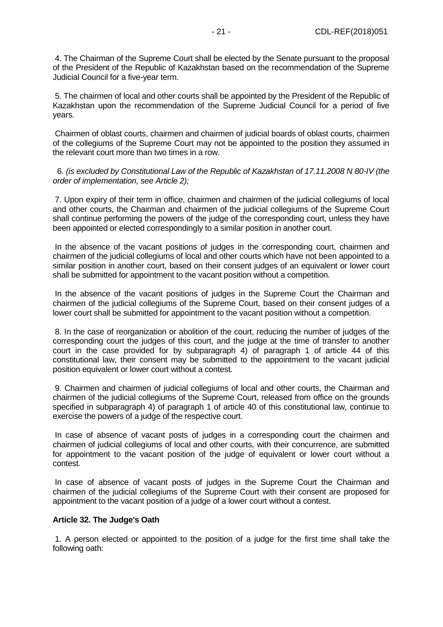4. The Chairman of the Supreme Court shall be elected by the Senate pursuant to the proposal of the President of the Republic of Kazakhstan based on the recommendation of the Supreme Judicial Council for a five-year term.

5. The chairmen of local and other courts shall be appointed by the President of the Republic of Kazakhstan upon the recommendation of the Supreme Judicial Council for a period of five years.

Chairmen of oblast courts, chairmen and chairmen of judicial boards of oblast courts, chairmen of the collegiums of the Supreme Court may not be appointed to the position they assumed in the relevant court more than two times in a row.

6. *(is excluded by Constitutional Law of the Republic of Kazakhstan of 17.11.2008 N 80-IV (the order of implementation, see Article 2);*

7. Upon expiry of their term in office, chairmen and chairmen of the judicial collegiums of local and other courts, the Chairman and chairmen of the judicial collegiums of the Supreme Court shall continue performing the powers of the judge of the corresponding court, unless they have been appointed or elected correspondingly to a similar position in another court.

In the absence of the vacant positions of judges in the corresponding court, chairmen and chairmen of the judicial collegiums of local and other courts which have not been appointed to a similar position in another court, based on their consent judges of an equivalent or lower court shall be submitted for appointment to the vacant position without a competition.

In the absence of the vacant positions of judges in the Supreme Court the Chairman and chairmen of the judicial collegiums of the Supreme Court, based on their consent judges of a lower court shall be submitted for appointment to the vacant position without a competition.

8. In the case of reorganization or abolition of the court, reducing the number of judges of the corresponding court the judges of this court, and the judge at the time of transfer to another court in the case provided for by subparagraph 4) of paragraph 1 of article 44 of this constitutional law, their consent may be submitted to the appointment to the vacant judicial position equivalent or lower court without a contest.

9. Chairmen and chairmen of judicial collegiums of local and other courts, the Chairman and chairmen of the judicial collegiums of the Supreme Court, released from office on the grounds specified in subparagraph 4) of paragraph 1 of article 40 of this constitutional law, continue to exercise the powers of a judge of the respective court.

In case of absence of vacant posts of judges in a corresponding court the chairmen and chairmen of judicial collegiums of local and other courts, with their concurrence, are submitted for appointment to the vacant position of the judge of equivalent or lower court without a contest.

In case of absence of vacant posts of judges in the Supreme Court the Chairman and chairmen of the judicial collegiums of the Supreme Court with their consent are proposed for appointment to the vacant position of a judge of a lower court without a contest.

#### **Article 32. The Judge's Oath**

1. A person elected or appointed to the position of a judge for the first time shall take the following oath: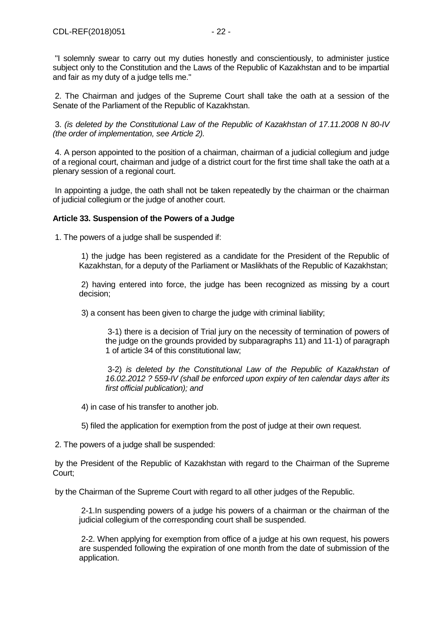"I solemnly swear to carry out my duties honestly and conscientiously, to administer justice subject only to the Constitution and the Laws of the Republic of Kazakhstan and to be impartial and fair as my duty of a judge tells me."

2. The Chairman and judges of the Supreme Court shall take the oath at a session of the Senate of the Parliament of the Republic of Kazakhstan.

3. *(is deleted by the Constitutional Law of the Republic of Kazakhstan of 17.11.2008 N 80-IV (the order of implementation, see Article 2).*

4. A person appointed to the position of a chairman, chairman of a judicial collegium and judge of a regional court, chairman and judge of a district court for the first time shall take the oath at a plenary session of a regional court.

In appointing a judge, the oath shall not be taken repeatedly by the chairman or the chairman of judicial collegium or the judge of another court.

## **Article 33. Suspension of the Powers of a Judge**

1. The powers of a judge shall be suspended if:

1) the judge has been registered as a candidate for the President of the Republic of Kazakhstan, for a deputy of the Parliament or Maslikhats of the Republic of Kazakhstan;

2) having entered into force, the judge has been recognized as missing by a court decision;

3) a consent has been given to charge the judge with criminal liability;

3-1) there is a decision of Trial jury on the necessity of termination of powers of the judge on the grounds provided by subparagraphs 11) and 11-1) of paragraph 1 of article 34 of this constitutional law;

3-2) *is deleted by the Constitutional Law of the Republic of Kazakhstan of 16.02.2012 ? 559-IV (shall be enforced upon expiry of ten calendar days after its first official publication); and*

4) in case of his transfer to another job.

5) filed the application for exemption from the post of judge at their own request.

2. The powers of a judge shall be suspended:

by the President of the Republic of Kazakhstan with regard to the Chairman of the Supreme Court;

by the Chairman of the Supreme Court with regard to all other judges of the Republic.

2-1.In suspending powers of a judge his powers of a chairman or the chairman of the judicial collegium of the corresponding court shall be suspended.

2-2. When applying for exemption from office of a judge at his own request, his powers are suspended following the expiration of one month from the date of submission of the application.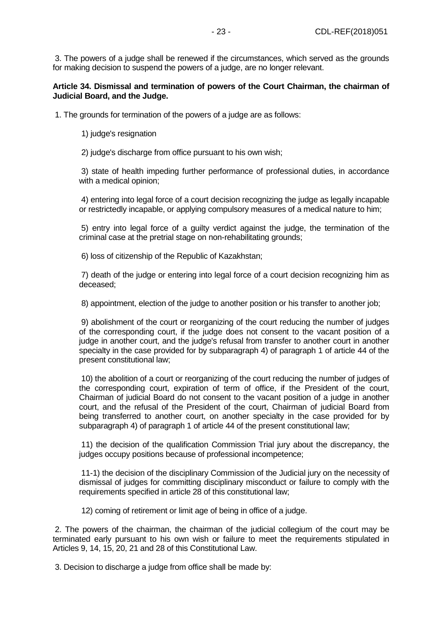3. The powers of a judge shall be renewed if the circumstances, which served as the grounds for making decision to suspend the powers of a judge, are no longer relevant.

## **Article 34. Dismissal and termination of powers of the Court Chairman, the chairman of Judicial Board, and the Judge.**

1. The grounds for termination of the powers of a judge are as follows:

1) judge's resignation

2) judge's discharge from office pursuant to his own wish;

3) state of health impeding further performance of professional duties, in accordance with a medical opinion;

4) entering into legal force of a court decision recognizing the judge as legally incapable or restrictedly incapable, or applying compulsory measures of a medical nature to him;

5) entry into legal force of a guilty verdict against the judge, the termination of the criminal case at the pretrial stage on non-rehabilitating grounds;

6) loss of citizenship of the Republic of Kazakhstan;

7) death of the judge or entering into legal force of a court decision recognizing him as deceased;

8) appointment, election of the judge to another position or his transfer to another job;

9) abolishment of the court or reorganizing of the court reducing the number of judges of the corresponding court, if the judge does not consent to the vacant position of a judge in another court, and the judge's refusal from transfer to another court in another specialty in the case provided for by subparagraph 4) of paragraph 1 of article 44 of the present constitutional law;

10) the abolition of a court or reorganizing of the court reducing the number of judges of the corresponding court, expiration of term of office, if the President of the court, Chairman of judicial Board do not consent to the vacant position of a judge in another court, and the refusal of the President of the court, Chairman of judicial Board from being transferred to another court, on another specialty in the case provided for by subparagraph 4) of paragraph 1 of article 44 of the present constitutional law;

11) the decision of the qualification Commission Trial jury about the discrepancy, the judges occupy positions because of professional incompetence;

11-1) the decision of the disciplinary Commission of the Judicial jury on the necessity of dismissal of judges for committing disciplinary misconduct or failure to comply with the requirements specified in article 28 of this constitutional law;

12) coming of retirement or limit age of being in office of a judge.

2. The powers of the chairman, the chairman of the judicial collegium of the court may be terminated early pursuant to his own wish or failure to meet the requirements stipulated in Articles 9, 14, 15, 20, 21 and 28 of this Constitutional Law.

3. Decision to discharge a judge from office shall be made by: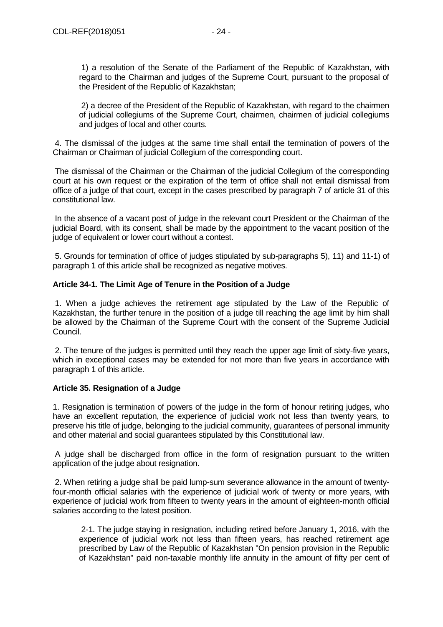1) a resolution of the Senate of the Parliament of the Republic of Kazakhstan, with regard to the Chairman and judges of the Supreme Court, pursuant to the proposal of the President of the Republic of Kazakhstan;

2) a decree of the President of the Republic of Kazakhstan, with regard to the chairmen of judicial collegiums of the Supreme Court, chairmen, chairmen of judicial collegiums and judges of local and other courts.

4. The dismissal of the judges at the same time shall entail the termination of powers of the Chairman or Chairman of judicial Collegium of the corresponding court.

The dismissal of the Chairman or the Chairman of the judicial Collegium of the corresponding court at his own request or the expiration of the term of office shall not entail dismissal from office of a judge of that court, except in the cases prescribed by paragraph 7 of article 31 of this constitutional law.

In the absence of a vacant post of judge in the relevant court President or the Chairman of the judicial Board, with its consent, shall be made by the appointment to the vacant position of the judge of equivalent or lower court without a contest.

5. Grounds for termination of office of judges stipulated by sub-paragraphs 5), 11) and 11-1) of paragraph 1 of this article shall be recognized as negative motives.

## **Article 34-1. The Limit Age of Tenure in the Position of a Judge**

1. When a judge achieves the retirement age stipulated by the Law of the Republic of Kazakhstan, the further tenure in the position of a judge till reaching the age limit by him shall be allowed by the Chairman of the Supreme Court with the consent of the Supreme Judicial Council.

2. The tenure of the judges is permitted until they reach the upper age limit of sixty-five years, which in exceptional cases may be extended for not more than five years in accordance with paragraph 1 of this article.

## **Article 35. Resignation of a Judge**

1. Resignation is termination of powers of the judge in the form of honour retiring judges, who have an excellent reputation, the experience of judicial work not less than twenty years, to preserve his title of judge, belonging to the judicial community, guarantees of personal immunity and other material and social guarantees stipulated by this Constitutional law.

A judge shall be discharged from office in the form of resignation pursuant to the written application of the judge about resignation.

2. When retiring a judge shall be paid lump-sum severance allowance in the amount of twentyfour-month official salaries with the experience of judicial work of twenty or more years, with experience of judicial work from fifteen to twenty years in the amount of eighteen-month official salaries according to the latest position.

2-1. The judge staying in resignation, including retired before January 1, 2016, with the experience of judicial work not less than fifteen years, has reached retirement age prescribed by Law of the Republic of Kazakhstan "On pension provision in the Republic of Kazakhstan" paid non-taxable monthly life annuity in the amount of fifty per cent of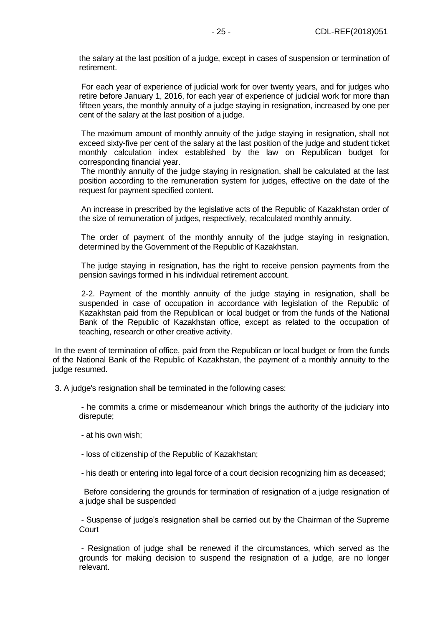the salary at the last position of a judge, except in cases of suspension or termination of retirement.

For each year of experience of judicial work for over twenty years, and for judges who retire before January 1, 2016, for each year of experience of judicial work for more than fifteen years, the monthly annuity of a judge staying in resignation, increased by one per cent of the salary at the last position of a judge.

The maximum amount of monthly annuity of the judge staying in resignation, shall not exceed sixty-five per cent of the salary at the last position of the judge and student ticket monthly calculation index established by the law on Republican budget for corresponding financial year.

The monthly annuity of the judge staying in resignation, shall be calculated at the last position according to the remuneration system for judges, effective on the date of the request for payment specified content.

An increase in prescribed by the legislative acts of the Republic of Kazakhstan order of the size of remuneration of judges, respectively, recalculated monthly annuity.

The order of payment of the monthly annuity of the judge staying in resignation, determined by the Government of the Republic of Kazakhstan.

The judge staying in resignation, has the right to receive pension payments from the pension savings formed in his individual retirement account.

2-2. Payment of the monthly annuity of the judge staying in resignation, shall be suspended in case of occupation in accordance with legislation of the Republic of Kazakhstan paid from the Republican or local budget or from the funds of the National Bank of the Republic of Kazakhstan office, except as related to the occupation of teaching, research or other creative activity.

In the event of termination of office, paid from the Republican or local budget or from the funds of the National Bank of the Republic of Kazakhstan, the payment of a monthly annuity to the judge resumed.

3. A judge's resignation shall be terminated in the following cases:

- he commits a crime or misdemeanour which brings the authority of the judiciary into disrepute;

- at his own wish;

- loss of citizenship of the Republic of Kazakhstan;

- his death or entering into legal force of a court decision recognizing him as deceased;

Before considering the grounds for termination of resignation of a judge resignation of a judge shall be suspended

- Suspense of judge's resignation shall be carried out by the Chairman of the Supreme Court

- Resignation of judge shall be renewed if the circumstances, which served as the grounds for making decision to suspend the resignation of a judge, are no longer relevant.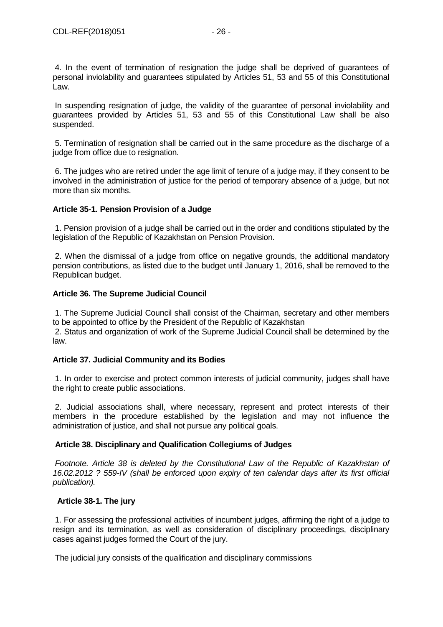4. In the event of termination of resignation the judge shall be deprived of guarantees of personal inviolability and guarantees stipulated by Articles 51, 53 and 55 of this Constitutional Law.

In suspending resignation of judge, the validity of the guarantee of personal inviolability and guarantees provided by Articles 51, 53 and 55 of this Constitutional Law shall be also suspended.

5. Termination of resignation shall be carried out in the same procedure as the discharge of a judge from office due to resignation.

6. The judges who are retired under the age limit of tenure of a judge may, if they consent to be involved in the administration of justice for the period of temporary absence of a judge, but not more than six months.

## **Article 35-1. Pension Provision of a Judge**

1. Pension provision of a judge shall be carried out in the order and conditions stipulated by the legislation of the Republic of Kazakhstan on Pension Provision.

2. When the dismissal of a judge from office on negative grounds, the additional mandatory pension contributions, as listed due to the budget until January 1, 2016, shall be removed to the Republican budget.

## **Article 36. The Supreme Judicial Council**

1. The Supreme Judicial Council shall consist of the Chairman, secretary and other members to be appointed to office by the President of the Republic of Kazakhstan

2. Status and organization of work of the Supreme Judicial Council shall be determined by the law.

## **Article 37. Judicial Community and its Bodies**

1. In order to exercise and protect common interests of judicial community, judges shall have the right to create public associations.

2. Judicial associations shall, where necessary, represent and protect interests of their members in the procedure established by the legislation and may not influence the administration of justice, and shall not pursue any political goals.

## **Article 38. Disciplinary and Qualification Collegiums of Judges**

Footnote. Article 38 is deleted by the Constitutional Law of the Republic of Kazakhstan of *16.02.2012 ? 559-IV (shall be enforced upon expiry of ten calendar days after its first official publication).*

### **Article 38-1. The jury**

1. For assessing the professional activities of incumbent judges, affirming the right of a judge to resign and its termination, as well as consideration of disciplinary proceedings, disciplinary cases against judges formed the Court of the jury.

The judicial jury consists of the qualification and disciplinary commissions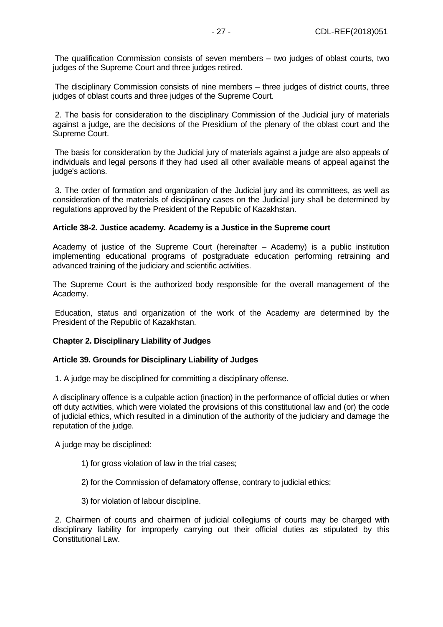The qualification Commission consists of seven members – two judges of oblast courts, two judges of the Supreme Court and three judges retired.

The disciplinary Commission consists of nine members – three judges of district courts, three judges of oblast courts and three judges of the Supreme Court.

2. The basis for consideration to the disciplinary Commission of the Judicial jury of materials against a judge, are the decisions of the Presidium of the plenary of the oblast court and the Supreme Court.

The basis for consideration by the Judicial jury of materials against a judge are also appeals of individuals and legal persons if they had used all other available means of appeal against the judge's actions.

3. The order of formation and organization of the Judicial jury and its committees, as well as consideration of the materials of disciplinary cases on the Judicial jury shall be determined by regulations approved by the President of the Republic of Kazakhstan.

#### **Article 38-2. Justice academy. Academy is a Justice in the Supreme court**

Academy of justice of the Supreme Court (hereinafter – Academy) is a public institution implementing educational programs of postgraduate education performing retraining and advanced training of the judiciary and scientific activities.

The Supreme Court is the authorized body responsible for the overall management of the Academy.

Education, status and organization of the work of the Academy are determined by the President of the Republic of Kazakhstan.

#### **Chapter 2. Disciplinary Liability of Judges**

#### **Article 39. Grounds for Disciplinary Liability of Judges**

1. A judge may be disciplined for committing a disciplinary offense.

A disciplinary offence is a culpable action (inaction) in the performance of official duties or when off duty activities, which were violated the provisions of this constitutional law and (or) the code of judicial ethics, which resulted in a diminution of the authority of the judiciary and damage the reputation of the judge.

A judge may be disciplined:

- 1) for gross violation of law in the trial cases;
- 2) for the Commission of defamatory offense, contrary to judicial ethics;
- 3) for violation of labour discipline.

2. Chairmen of courts and chairmen of judicial collegiums of courts may be charged with disciplinary liability for improperly carrying out their official duties as stipulated by this Constitutional Law.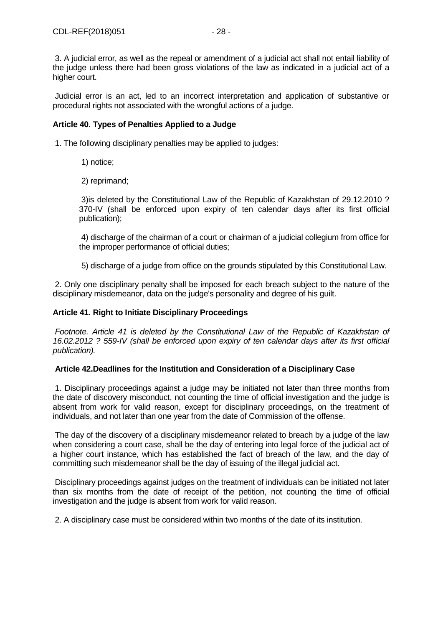3. A judicial error, as well as the repeal or amendment of a judicial act shall not entail liability of the judge unless there had been gross violations of the law as indicated in a judicial act of a higher court.

Judicial error is an act, led to an incorrect interpretation and application of substantive or procedural rights not associated with the wrongful actions of a judge.

## **Article 40. Types of Penalties Applied to a Judge**

1. The following disciplinary penalties may be applied to judges:

- 1) notice;
- 2) reprimand;

3)is deleted by the Constitutional Law of the Republic of Kazakhstan of 29.12.2010 ? 370-IV (shall be enforced upon expiry of ten calendar days after its first official publication);

4) discharge of the chairman of a court or chairman of a judicial collegium from office for the improper performance of official duties;

5) discharge of a judge from office on the grounds stipulated by this Constitutional Law.

2. Only one disciplinary penalty shall be imposed for each breach subject to the nature of the disciplinary misdemeanor, data on the judge's personality and degree of his guilt.

## **Article 41. Right to Initiate Disciplinary Proceedings**

*Footnote. Article 41 is deleted by the Constitutional Law of the Republic of Kazakhstan of 16.02.2012 ? 559-IV (shall be enforced upon expiry of ten calendar days after its first official publication).*

#### **Article 42.Deadlines for the Institution and Consideration of a Disciplinary Case**

1. Disciplinary proceedings against a judge may be initiated not later than three months from the date of discovery misconduct, not counting the time of official investigation and the judge is absent from work for valid reason, except for disciplinary proceedings, on the treatment of individuals, and not later than one year from the date of Commission of the offense.

The day of the discovery of a disciplinary misdemeanor related to breach by a judge of the law when considering a court case, shall be the day of entering into legal force of the judicial act of a higher court instance, which has established the fact of breach of the law, and the day of committing such misdemeanor shall be the day of issuing of the illegal judicial act.

Disciplinary proceedings against judges on the treatment of individuals can be initiated not later than six months from the date of receipt of the petition, not counting the time of official investigation and the judge is absent from work for valid reason.

2. A disciplinary case must be considered within two months of the date of its institution.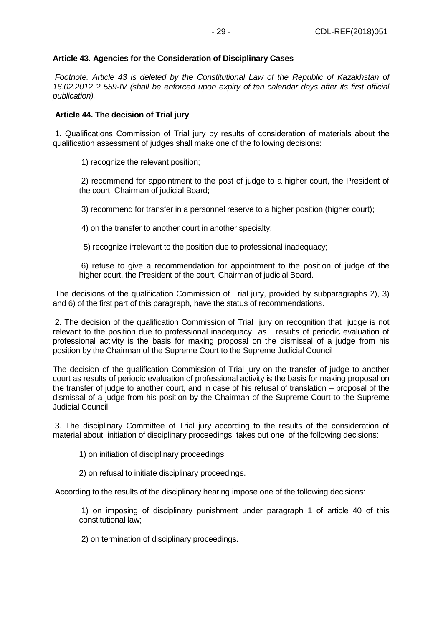## **Article 43. Agencies for the Consideration of Disciplinary Cases**

Footnote. Article 43 is deleted by the Constitutional Law of the Republic of Kazakhstan of *16.02.2012 ? 559-IV (shall be enforced upon expiry of ten calendar days after its first official publication).*

## **Article 44. The decision of Trial jury**

1. Qualifications Commission of Trial jury by results of consideration of materials about the qualification assessment of judges shall make one of the following decisions:

1) recognize the relevant position;

2) recommend for appointment to the post of judge to a higher court, the President of the court, Chairman of judicial Board;

3) recommend for transfer in a personnel reserve to a higher position (higher court);

4) on the transfer to another court in another specialty;

5) recognize irrelevant to the position due to professional inadequacy;

6) refuse to give a recommendation for appointment to the position of judge of the higher court, the President of the court, Chairman of judicial Board.

The decisions of the qualification Commission of Trial jury, provided by subparagraphs 2), 3) and 6) of the first part of this paragraph, have the status of recommendations.

2. The decision of the qualification Commission of Trial jury on recognition that judge is not relevant to the position due to professional inadequacy as results of periodic evaluation of professional activity is the basis for making proposal on the dismissal of a judge from his position by the Chairman of the Supreme Court to the Supreme Judicial Council

The decision of the qualification Commission of Trial jury on the transfer of judge to another court as results of periodic evaluation of professional activity is the basis for making proposal on the transfer of judge to another court, and in case of his refusal of translation – proposal of the dismissal of a judge from his position by the Chairman of the Supreme Court to the Supreme Judicial Council.

3. The disciplinary Committee of Trial jury according to the results of the consideration of material about initiation of disciplinary proceedings takes out one of the following decisions:

1) on initiation of disciplinary proceedings;

2) on refusal to initiate disciplinary proceedings.

According to the results of the disciplinary hearing impose one of the following decisions:

1) on imposing of disciplinary punishment under paragraph 1 of article 40 of this constitutional law;

2) on termination of disciplinary proceedings.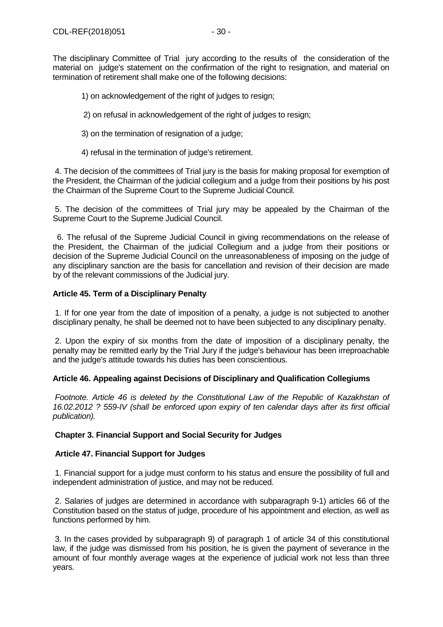The disciplinary Committee of Trial jury according to the results of the consideration of the material on judge's statement on the confirmation of the right to resignation, and material on termination of retirement shall make one of the following decisions:

- 1) on acknowledgement of the right of judges to resign;
- 2) on refusal in acknowledgement of the right of judges to resign;
- 3) on the termination of resignation of a judge;
- 4) refusal in the termination of judge's retirement.

4. The decision of the committees of Trial jury is the basis for making proposal for exemption of the President, the Chairman of the judicial collegium and a judge from their positions by his post the Chairman of the Supreme Court to the Supreme Judicial Council.

5. The decision of the committees of Trial jury may be appealed by the Chairman of the Supreme Court to the Supreme Judicial Council.

 6. The refusal of the Supreme Judicial Council in giving recommendations on the release of the President, the Chairman of the judicial Collegium and a judge from their positions or decision of the Supreme Judicial Council on the unreasonableness of imposing on the judge of any disciplinary sanction are the basis for cancellation and revision of their decision are made by of the relevant commissions of the Judicial jury.

## **Article 45. Term of a Disciplinary Penalty**

1. If for one year from the date of imposition of a penalty, a judge is not subjected to another disciplinary penalty, he shall be deemed not to have been subjected to any disciplinary penalty.

2. Upon the expiry of six months from the date of imposition of a disciplinary penalty, the penalty may be remitted early by the Trial Jury if the judge's behaviour has been irreproachable and the judge's attitude towards his duties has been conscientious.

## **Article 46. Appealing against Decisions of Disciplinary and Qualification Collegiums**

Footnote. Article 46 is deleted by the Constitutional Law of the Republic of Kazakhstan of *16.02.2012 ? 559-IV (shall be enforced upon expiry of ten calendar days after its first official publication).*

## **Chapter 3. Financial Support and Social Security for Judges**

#### **Article 47. Financial Support for Judges**

1. Financial support for a judge must conform to his status and ensure the possibility of full and independent administration of justice, and may not be reduced.

2. Salaries of judges are determined in accordance with subparagraph 9-1) articles 66 of the Constitution based on the status of judge, procedure of his appointment and election, as well as functions performed by him.

3. In the cases provided by subparagraph 9) of paragraph 1 of article 34 of this constitutional law, if the judge was dismissed from his position, he is given the payment of severance in the amount of four monthly average wages at the experience of judicial work not less than three years.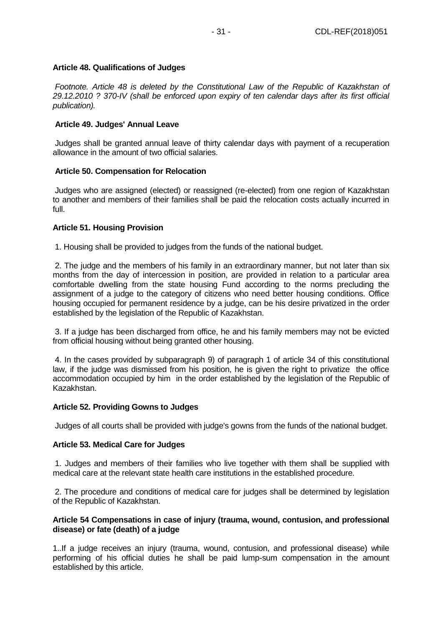## **Article 48. Qualifications of Judges**

*Footnote. Article 48 is deleted by the Constitutional Law of the Republic of Kazakhstan of 29.12.2010 ? 370-IV (shall be enforced upon expiry of ten calendar days after its first official publication).*

## **Article 49. Judges' Annual Leave**

Judges shall be granted annual leave of thirty calendar days with payment of a recuperation allowance in the amount of two official salaries.

## **Article 50. Compensation for Relocation**

Judges who are assigned (elected) or reassigned (re-elected) from one region of Kazakhstan to another and members of their families shall be paid the relocation costs actually incurred in full.

## **Article 51. Housing Provision**

1. Housing shall be provided to judges from the funds of the national budget.

2. The judge and the members of his family in an extraordinary manner, but not later than six months from the day of intercession in position, are provided in relation to a particular area comfortable dwelling from the state housing Fund according to the norms precluding the assignment of a judge to the category of citizens who need better housing conditions. Office housing occupied for permanent residence by a judge, can be his desire privatized in the order established by the legislation of the Republic of Kazakhstan.

3. If a judge has been discharged from office, he and his family members may not be evicted from official housing without being granted other housing.

4. In the cases provided by subparagraph 9) of paragraph 1 of article 34 of this constitutional law, if the judge was dismissed from his position, he is given the right to privatize the office accommodation occupied by him in the order established by the legislation of the Republic of Kazakhstan.

## **Article 52. Providing Gowns to Judges**

Judges of all courts shall be provided with judge's gowns from the funds of the national budget.

## **Article 53. Medical Care for Judges**

1. Judges and members of their families who live together with them shall be supplied with medical care at the relevant state health care institutions in the established procedure.

2. The procedure and conditions of medical care for judges shall be determined by legislation of the Republic of Kazakhstan.

## **Article 54 Compensations in case of injury (trauma, wound, contusion, and professional disease) or fate (death) of a judge**

1..If a judge receives an injury (trauma, wound, contusion, and professional disease) while performing of his official duties he shall be paid lump-sum compensation in the amount established by this article.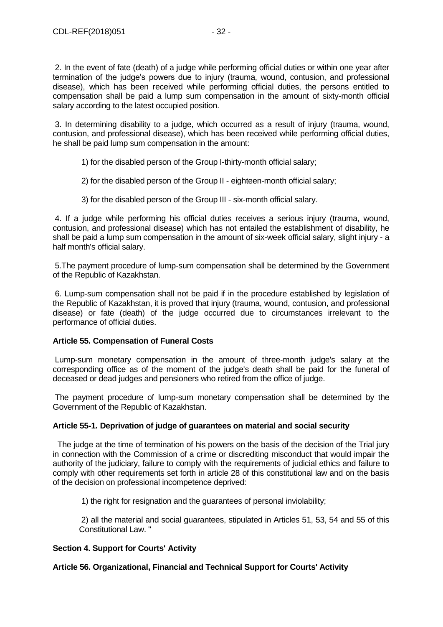2. In the event of fate (death) of a judge while performing official duties or within one year after termination of the judge's powers due to injury (trauma, wound, contusion, and professional disease), which has been received while performing official duties, the persons entitled to compensation shall be paid a lump sum compensation in the amount of sixty-month official salary according to the latest occupied position.

3. In determining disability to a judge, which occurred as a result of injury (trauma, wound, contusion, and professional disease), which has been received while performing official duties, he shall be paid lump sum compensation in the amount:

- 1) for the disabled person of the Group I-thirty-month official salary;
- 2) for the disabled person of the Group II eighteen-month official salary;
- 3) for the disabled person of the Group III six-month official salary.

4. If a judge while performing his official duties receives a serious injury (trauma, wound, contusion, and professional disease) which has not entailed the establishment of disability, he shall be paid a lump sum compensation in the amount of six-week official salary, slight injury - a half month's official salary.

5.The payment procedure of lump-sum compensation shall be determined by the Government of the Republic of Kazakhstan.

6. Lump-sum compensation shall not be paid if in the procedure established by legislation of the Republic of Kazakhstan, it is proved that injury (trauma, wound, contusion, and professional disease) or fate (death) of the judge occurred due to circumstances irrelevant to the performance of official duties.

## **Article 55. Compensation of Funeral Costs**

Lump-sum monetary compensation in the amount of three-month judge's salary at the corresponding office as of the moment of the judge's death shall be paid for the funeral of deceased or dead judges and pensioners who retired from the office of judge.

The payment procedure of lump-sum monetary compensation shall be determined by the Government of the Republic of Kazakhstan.

#### **Article 55-1. Deprivation of judge of guarantees on material and social security**

The judge at the time of termination of his powers on the basis of the decision of the Trial jury in connection with the Commission of a crime or discrediting misconduct that would impair the authority of the judiciary, failure to comply with the requirements of judicial ethics and failure to comply with other requirements set forth in article 28 of this constitutional law and on the basis of the decision on professional incompetence deprived:

1) the right for resignation and the guarantees of personal inviolability;

2) all the material and social guarantees, stipulated in Articles 51, 53, 54 and 55 of this Constitutional Law. "

## **Section 4. Support for Courts' Activity**

## **Article 56. Organizational, Financial and Technical Support for Courts' Activity**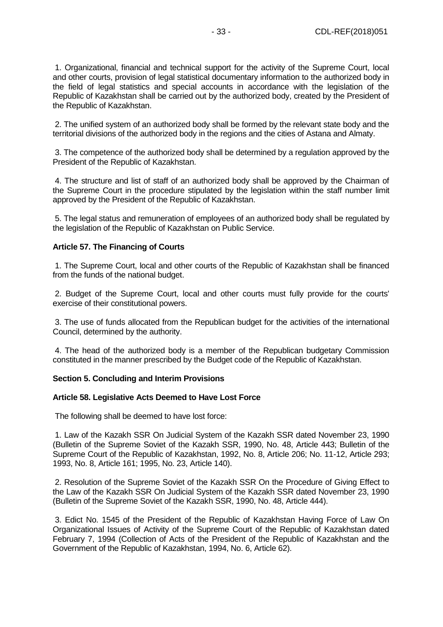1. Organizational, financial and technical support for the activity of the Supreme Court, local and other courts, provision of legal statistical documentary information to the authorized body in the field of legal statistics and special accounts in accordance with the legislation of the Republic of Kazakhstan shall be carried out by the authorized body, created by the President of the Republic of Kazakhstan.

2. The unified system of an authorized body shall be formed by the relevant state body and the territorial divisions of the authorized body in the regions and the cities of Astana and Almaty.

3. The competence of the authorized body shall be determined by a regulation approved by the President of the Republic of Kazakhstan.

4. The structure and list of staff of an authorized body shall be approved by the Chairman of the Supreme Court in the procedure stipulated by the legislation within the staff number limit approved by the President of the Republic of Kazakhstan.

5. The legal status and remuneration of employees of an authorized body shall be regulated by the legislation of the Republic of Kazakhstan on Public Service.

#### **Article 57. The Financing of Courts**

1. The Supreme Court, local and other courts of the Republic of Kazakhstan shall be financed from the funds of the national budget.

2. Budget of the Supreme Court, local and other courts must fully provide for the courts' exercise of their constitutional powers.

3. The use of funds allocated from the Republican budget for the activities of the international Council, determined by the authority.

4. The head of the authorized body is a member of the Republican budgetary Commission constituted in the manner prescribed by the Budget code of the Republic of Kazakhstan.

#### **Section 5. Concluding and Interim Provisions**

#### **Article 58. Legislative Acts Deemed to Have Lost Force**

The following shall be deemed to have lost force:

1. Law of the Kazakh SSR On Judicial System of the Kazakh SSR dated November 23, 1990 (Bulletin of the Supreme Soviet of the Kazakh SSR, 1990, No. 48, Article 443; Bulletin of the Supreme Court of the Republic of Kazakhstan, 1992, No. 8, Article 206; No. 11-12, Article 293; 1993, No. 8, Article 161; 1995, No. 23, Article 140).

2. Resolution of the Supreme Soviet of the Kazakh SSR On the Procedure of Giving Effect to the Law of the Kazakh SSR On Judicial System of the Kazakh SSR dated November 23, 1990 (Bulletin of the Supreme Soviet of the Kazakh SSR, 1990, No. 48, Article 444).

3. Edict No. 1545 of the President of the Republic of Kazakhstan Having Force of Law On Organizational Issues of Activity of the Supreme Court of the Republic of Kazakhstan dated February 7, 1994 (Collection of Acts of the President of the Republic of Kazakhstan and the Government of the Republic of Kazakhstan, 1994, No. 6, Article 62).